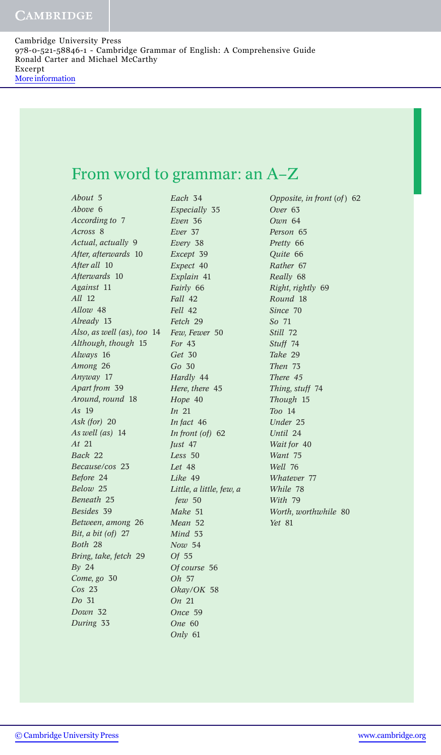Cambridge University Press 978-0-521-58846-1 - Cambridge Grammar of English: A Comprehensive Guide Ronald Carter and Michael McCarthy Excerpt [More information](http://www.cambridge.org/0521588464)

# From word to grammar: an A–Z

*About* 5 *Above* 6 *According to* 7 *Across* 8 *Actual, actually* 9 *After, afterwards* 10 *After all* 10 *Afterwards* 10 *Against* 11 *All* 12 *Allow* 48 *Already* 13 *Also, as well (as), too* 14 *Few, Fewer* 50 *Although, though* 15 *Always* 16 *Among* 26 *Anyway* 17 *Apart from* 39 *Around, round* 18 *As* 19 *Ask (for)* 20 *As well (as)* 14 *At* 21 *Back* 22 *Because/cos* 23 *Before* 24 *Below* 25 *Beneath* 25 *Besides* 39 *Between, among* 26 *Bit, a bit (of)* 27 *Both* 28 *Bring, take, fetch* 29 *By* 24 *Come, go* 30 *Cos* 23 *Do* 31 *Down* 32 *During* 33

*Each* 34 *Especially* 35 *Even* 36 *Ever* 37 *Every* 38 *Except* 39 *Expect* 40 *Explain* 41 *Fairly* 66 *Fall* 42 *Fell* 42 *Fetch* 29 *For* 43 *Get* 30 *Go* 30 *Hardly* 44 *Here, there* 45 *Hope* 40 *In* 21 *In fact* 46 *In front (of)* 62 *Just* 47 *Less* 50 *Let* 48 *Like* 49 *Little, a little, few, a few* 50 *Make* 51 *Mean* 52 *Mind* 53 *Now* 54 *Of* 55 *Of course* 56 *Oh* 57 *Okay/OK* 58 *On* 21 *Once* 59 *One* 60 *Only* 61

*Opposite, in front* (*of*) 62 *Over* 63 *Own* 64 *Person* 65 *Pretty* 66 *Quite* 66 *Rather* 67 *Really* 68 *Right, rightly* 69 *Round* 18 *Since* 70 *So* 71 *Still* 72 *Stuff* 74 *Take* 29 *Then* 73 *There 45 Thing, stuff* 74 *Though* 15 *Too* 14 *Under* 25 *Until* 24 *Wait for* 40 *Want* 75 *Well* 76 *Whatever* 77 *While* 78 *With* 79 *Worth, worthwhile* 80 *Yet* 81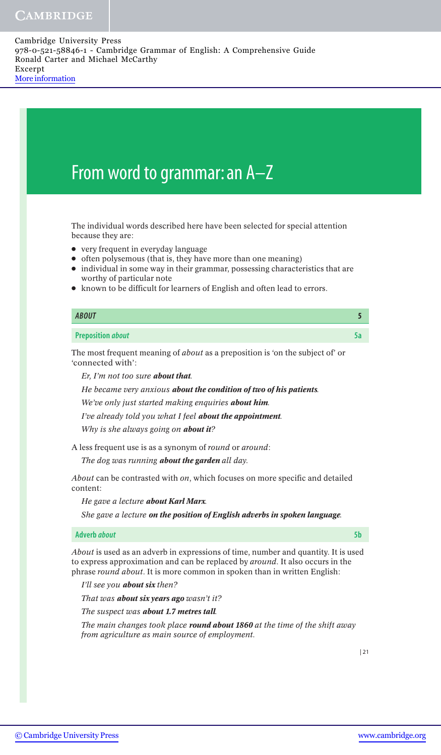The individual words described here have been selected for special attention because they are:

- very frequent in everyday language
- often polysemous (that is, they have more than one meaning)
- individual in some way in their grammar, possessing characteristics that are worthy of particular note
- known to be difficult for learners of English and often lead to errors.

#### *ABOUT* **5**

#### **Preposition** *about* **5a**

The most frequent meaning of *about* as a preposition is 'on the subject of' or 'connected with':

*Er, I'm not too sure about that.*

*He became very anxious about the condition of two of his patients.*

*We've only just started making enquiries about him.*

*I've already told you what I feel about the appointment.*

*Why is she always going on about it?*

A less frequent use is as a synonym of *round* or *around*:

*The dog was running about the garden all day.*

*About* can be contrasted with *on*, which focuses on more specific and detailed content:

*He gave a lecture about Karl Marx.*

*She gave a lecture on the position of English adverbs in spoken language.*

#### **Adverb** *about* **5b**

*About* is used as an adverb in expressions of time, number and quantity. It is used to express approximation and can be replaced by *around*. It also occurs in the phrase *round about*. It is more common in spoken than in written English:

*I'll see you about six then?*

*That was about six years ago wasn't it?*

*The suspect was about 1.7 metres tall.*

*The main changes took place round about 1860 at the time of the shift away from agriculture as main source of employment.*

| 21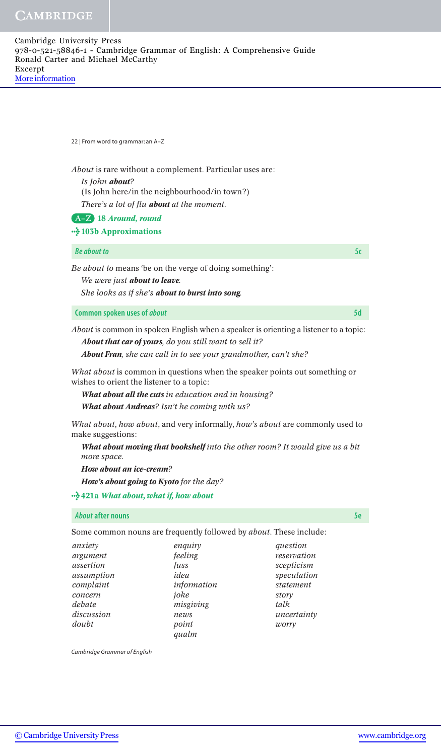*About* is rare without a complement. Particular uses are: *Is John about?* (Is John here/in the neighbourhood/in town?) *There's a lot of flu about at the moment.*

## A–Z 18 *Around*, *round*

# **Û**103b Approximations

#### *Be about to* **5c**

*Be about to* means 'be on the verge of doing something': *We were just about to leave. She looks as if she's about to burst into song.*

**Common spoken uses of** *about* **5d**

*About* is common in spoken English when a speaker is orienting a listener to a topic: *About that car of yours, do you still want to sell it?*

*About Fran, she can call in to see your grandmother, can't she?*

*What about* is common in questions when the speaker points out something or wishes to orient the listener to a topic:

*What about all the cuts in education and in housing? What about Andreas? Isn't he coming with us?*

*What about*, *how about*, and very informally, *how's about* are commonly used to make suggestions:

*What about moving that bookshelf into the other room? It would give us a bit more space.*

*How about an ice-cream?*

*How's about going to Kyoto for the day?*

#### **Û**421a *What about, what if, how about*

#### *About* after nouns **5e**

Some common nouns are frequently followed by *about*. These include:

*anxiety argument assertion assumption complaint concern debate discussion doubt*

*enquiry feeling fuss idea information joke misgiving news point qualm*

*question reservation scepticism speculation statement story talk uncertainty worry*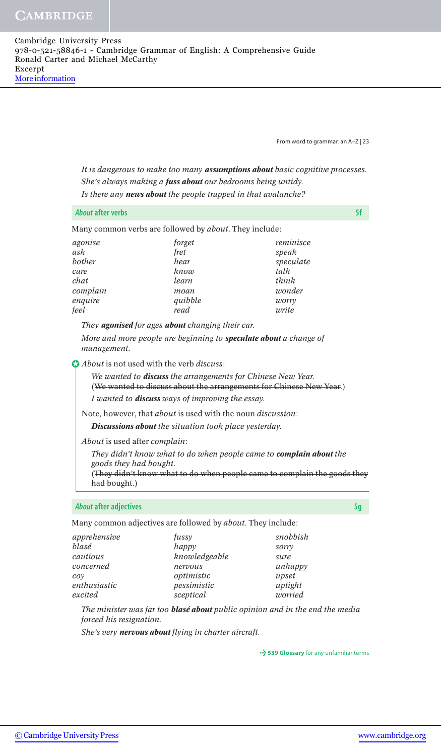*It is dangerous to make too many assumptions about basic cognitive processes. She's always making a fuss about our bedrooms being untidy. Is there any news about the people trapped in that avalanche?*

| About after verbs                                                       |                                                                                                                                                                                                                                                                                                                                                                                                                                                                                                                                                  |                                                                              | 5f |
|-------------------------------------------------------------------------|--------------------------------------------------------------------------------------------------------------------------------------------------------------------------------------------------------------------------------------------------------------------------------------------------------------------------------------------------------------------------------------------------------------------------------------------------------------------------------------------------------------------------------------------------|------------------------------------------------------------------------------|----|
|                                                                         | Many common verbs are followed by <i>about</i> . They include:                                                                                                                                                                                                                                                                                                                                                                                                                                                                                   |                                                                              |    |
| agonise<br>ask<br>bother<br>care<br>chat<br>complain<br>enquire<br>feel | forget<br>fret<br>hear<br>know<br>learn<br>moan<br>quibble<br>read<br>They <b>agonised</b> for ages <b>about</b> changing their car.                                                                                                                                                                                                                                                                                                                                                                                                             | reminisce<br>speak<br>speculate<br>talk<br>think<br>wonder<br>worry<br>write |    |
| management.                                                             | More and more people are beginning to speculate about a change of                                                                                                                                                                                                                                                                                                                                                                                                                                                                                |                                                                              |    |
| About is used after complain:<br>goods they had bought.<br>had bought.) | About is not used with the verb discuss:<br>We wanted to discuss the arrangements for Chinese New Year.<br>(We wanted to discuss about the arrangements for Chinese New Year.)<br>I wanted to <b>discuss</b> ways of improving the essay.<br>Note, however, that <i>about</i> is used with the noun <i>discussion</i> :<br><b>Discussions about</b> the situation took place yesterday.<br>They didn't know what to do when people came to <b>complain about</b> the<br>(They didn't know what to do when people came to complain the goods they |                                                                              |    |
| <b>About after adjectives</b>                                           |                                                                                                                                                                                                                                                                                                                                                                                                                                                                                                                                                  |                                                                              | 5g |
|                                                                         | Many common adjectives are followed by about. They include:                                                                                                                                                                                                                                                                                                                                                                                                                                                                                      |                                                                              |    |
| apprehensive<br>blasé<br>cautious<br>concerned                          | fussy<br>happy<br>knowledgeable<br>nervous                                                                                                                                                                                                                                                                                                                                                                                                                                                                                                       | snobbish<br>sorry<br>sure<br>unhappy                                         |    |

*The minister was far too blasé about public opinion and in the end the media*

*upset uptight worried*

**<sup>1</sup>** 539 Glossary for any unfamiliar terms

*coy*

*enthusiastic excited*

*forced his resignation.*

*She's very nervous about flying in charter aircraft.*

*optimistic pessimistic sceptical*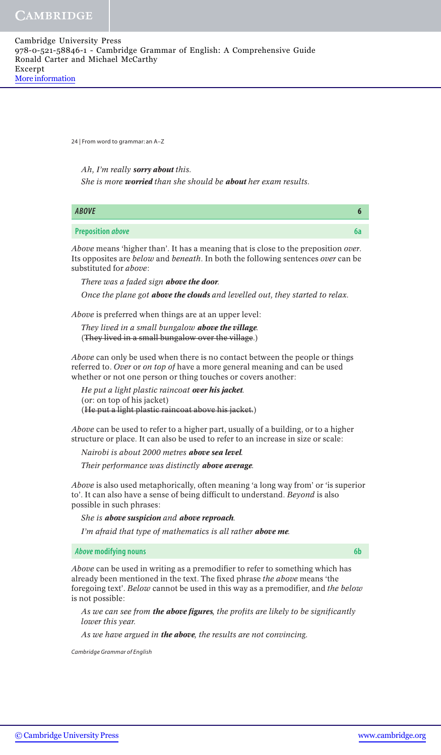*Ah, I'm really sorry about this. She is more worried than she should be about her exam results.*

| <b>ABOVE</b>             |  |
|--------------------------|--|
|                          |  |
| <b>Preposition above</b> |  |

*Above* means 'higher than'. It has a meaning that is close to the preposition *over*. Its opposites are *below* and *beneath*. In both the following sentences *over* can be substituted for *above*:

*There was a faded sign above the door.*

*Once the plane got above the clouds and levelled out, they started to relax.*

*Above* is preferred when things are at an upper level:

```
They lived in a small bungalow above the village.
(They lived in a small bungalow over the village.)
```
*Above* can only be used when there is no contact between the people or things referred to. *Over* or *on top of* have a more general meaning and can be used whether or not one person or thing touches or covers another:

*He put a light plastic raincoat over his jacket.*  (or: on top of his jacket) (He put a light plastic raincoat above his jacket.)

*Above* can be used to refer to a higher part, usually of a building, or to a higher structure or place. It can also be used to refer to an increase in size or scale:

*Nairobi is about 2000 metres above sea level.*

*Their performance was distinctly above average.*

*Above* is also used metaphorically, often meaning 'a long way from' or 'is superior to'. It can also have a sense of being difficult to understand. *Beyond* is also possible in such phrases:

*She is above suspicion and above reproach.*

*I'm afraid that type of mathematics is all rather above me.*

*Above* **modifying nouns 6bb** 

*Above* can be used in writing as a premodifier to refer to something which has already been mentioned in the text. The fixed phrase *the above* means 'the foregoing text'. *Below* cannot be used in this way as a premodifier, and *the below* is not possible:

*As we can see from the above figures, the profits are likely to be significantly lower this year.*

*As we have argued in the above, the results are not convincing.*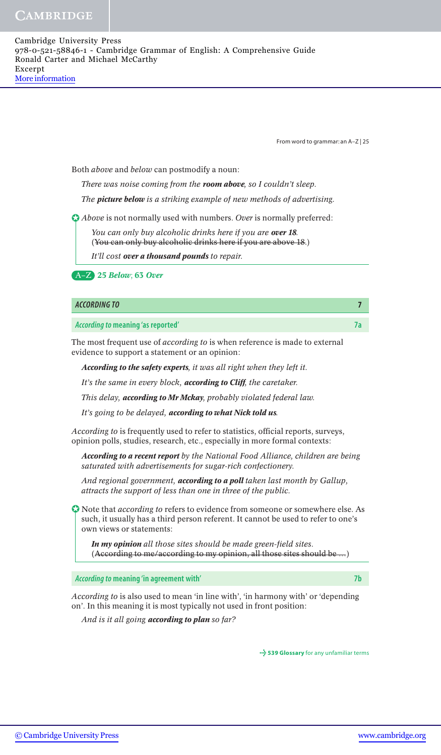Both *above* and *below* can postmodify a noun:

*There was noise coming from the room above, so I couldn't sleep.*

*The picture below is a striking example of new methods of advertising.*

✪*Above* is not normally used with numbers. *Over* is normally preferred:

*You can only buy alcoholic drinks here if you are over 18.*

(You can only buy alcoholic drinks here if you are above 18.)

*It'll cost over a thousand pounds to repair.*

A–Z 25 *Below*; 63 *Over*

*ACCORDING TO* **7**

*According to* **meaning 'as reported' 7a**

The most frequent use of *according to* is when reference is made to external evidence to support a statement or an opinion:

*According to the safety experts, it was all right when they left it.*

*It's the same in every block, according to Cliff, the caretaker.*

*This delay, according to Mr Mckay, probably violated federal law.*

*It's going to be delayed, according to what Nick told us.*

*According to* is frequently used to refer to statistics, official reports, surveys, opinion polls, studies, research, etc., especially in more formal contexts:

*According to a recent report by the National Food Alliance, children are being saturated with advertisements for sugar-rich confectionery.*

*And regional government, according to a poll taken last month by Gallup, attracts the support of less than one in three of the public.*

✪ Note that *according to* refers to evidence from someone or somewhere else. As such, it usually has a third person referent. It cannot be used to refer to one's own views or statements:

*In my opinion all those sites should be made green-field sites.* (According to me/according to my opinion, all those sites should be …)

*According to* **meaning 'in agreement with' 7b**

*According to* is also used to mean 'in line with', 'in harmony with' or 'depending on'. In this meaning it is most typically not used in front position:

*And is it all going according to plan so far?*

**<sup>1</sup>** 539 Glossary for any unfamiliar terms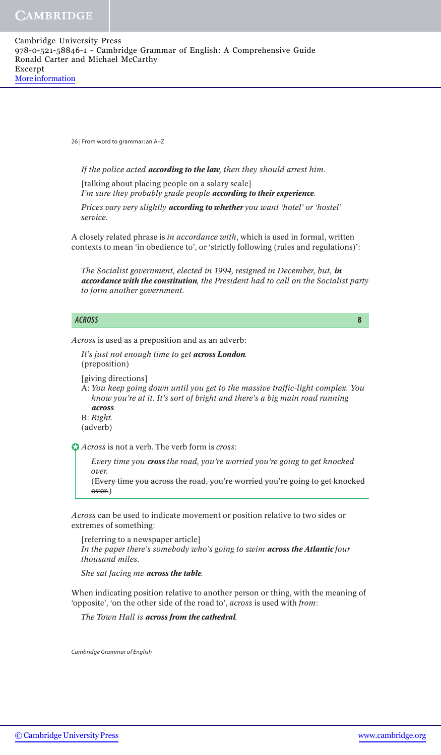*If the police acted according to the law, then they should arrest him.*

[talking about placing people on a salary scale] *I'm sure they probably grade people according to their experience.*

*Prices vary very slightly according to whether you want 'hotel' or 'hostel' service.*

A closely related phrase is *in accordance with*, which is used in formal, written contexts to mean 'in obedience to', or 'strictly following (rules and regulations)':

*The Socialist government, elected in 1994, resigned in December, but, in accordance with the constitution, the President had to call on the Socialist party to form another government.*

## *ACROSS* **8**

*Across* is used as a preposition and as an adverb:

*It's just not enough time to get across London.* (preposition) [giving directions]

A: *You keep going down until you get to the massive traffic-light complex. You know you're at it. It's sort of bright and there's a big main road running across.*  B: *Right.* 

(adverb)

✪*Across* is not a verb. The verb form is *cross*:

*Every time you cross the road, you're worried you're going to get knocked over.*

(Every time you across the road, you're worried you're going to get knocked over.)

*Across* can be used to indicate movement or position relative to two sides or extremes of something:

[referring to a newspaper article] *In the paper there's somebody who's going to swim across the Atlantic four thousand miles.*

*She sat facing me across the table.*

When indicating position relative to another person or thing, with the meaning of 'opposite', 'on the other side of the road to', *across* is used with *from*:

*The Town Hall is across from the cathedral.*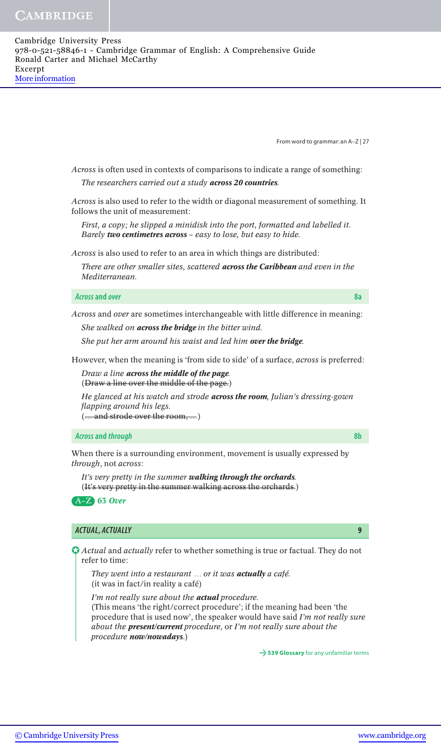*Across* is often used in contexts of comparisons to indicate a range of something: *The researchers carried out a study across 20 countries.*

*Across* is also used to refer to the width or diagonal measurement of something. It follows the unit of measurement:

*First, a copy; he slipped a minidisk into the port, formatted and labelled it. Barely two centimetres across – easy to lose, but easy to hide.*

*Across* is also used to refer to an area in which things are distributed:

*There are other smaller sites, scattered across the Caribbean and even in the Mediterranean.*

*Across***and** *over* **8a**

*Across* and *over* are sometimes interchangeable with little difference in meaning: *She walked on across the bridge in the bitter wind.*

*She put her arm around his waist and led him over the bridge.*

However, when the meaning is 'from side to side' of a surface, *across* is preferred:

*Draw a line across the middle of the page.* (Draw a line over the middle of the page.)

*He glanced at his watch and strode across the room, Julian's dressing-gown flapping around his legs.* (… and strode over the room, …)

# *Across* **and** *through* **<b>8b 8b**

When there is a surrounding environment, movement is usually expressed by *through*, not *across*:

*It's very pretty in the summer walking through the orchards.* (It's very pretty in the summer walking across the orchards.)



# *ACTUAL***,** *ACTUALLY* **9**

✪*Actual* and *actually* refer to whether something is true or factual. They do not refer to time:

*They went into a restaurant … or it was actually a café.*  (it was in fact/in reality a café)

*I'm not really sure about the actual procedure.* (This means 'the right/correct procedure'; if the meaning had been 'the procedure that is used now', the speaker would have said *I'm not really sure about the present/current procedure*, or *I'm not really sure about the procedure now/nowadays*.)

**<sup>1</sup>** 539 Glossary for any unfamiliar terms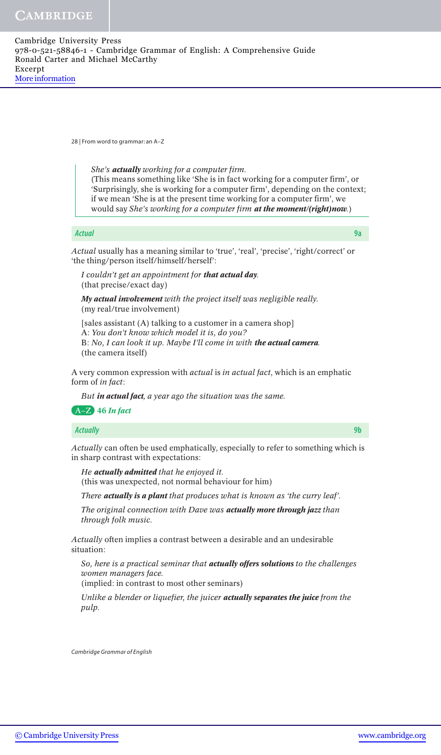*She's actually working for a computer firm.*

(This means something like 'She is in fact working for a computer firm', or 'Surprisingly, she is working for a computer firm', depending on the context; if we mean 'She is at the present time working for a computer firm', we would say *She's working for a computer firm at the moment/(right)now.*)

#### *Actual* **9a**

*Actual* usually has a meaning similar to 'true', 'real', 'precise', 'right/correct' or 'the thing/person itself/himself/herself':

*I couldn't get an appointment for that actual day.*  (that precise/exact day)

*My actual involvement with the project itself was negligible really.*  (my real/true involvement)

[sales assistant (A) talking to a customer in a camera shop] A: *You don't know which model it is, do you?* B: *No, I can look it up. Maybe I'll come in with the actual camera.*  (the camera itself)

A very common expression with *actual* is *in actual fact*, which is an emphatic form of *in fact*:

*But in actual fact, a year ago the situation was the same.*

A–Z 46 *In fact*

#### *Actually* **9b**

*Actually* can often be used emphatically, especially to refer to something which is in sharp contrast with expectations:

*He actually admitted that he enjoyed it.* 

(this was unexpected, not normal behaviour for him)

*There actually is a plant that produces what is known as 'the curry leaf'.*

*The original connection with Dave was actually more through jazz than through folk music.*

*Actually* often implies a contrast between a desirable and an undesirable situation:

*So, here is a practical seminar that actually offers solutions to the challenges women managers face.* 

(implied: in contrast to most other seminars)

*Unlike a blender or liquefier, the juicer actually separates the juice from the pulp.*